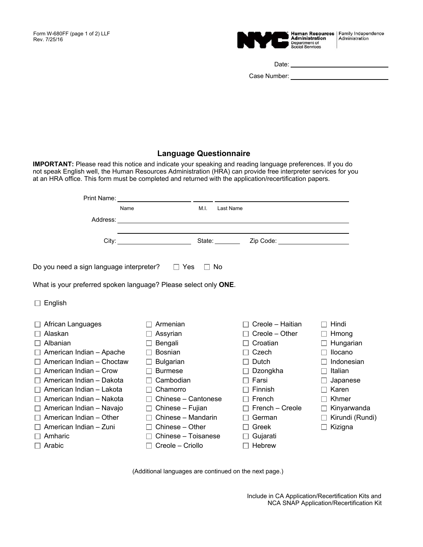

Date:

Case Number: William State Case Number:

## **Language Questionnaire**

**IMPORTANT:** Please read this notice and indicate your speaking and reading language preferences. If you do not speak English well, the Human Resources Administration (HRA) can provide free interpreter services for you at an HRA office. This form must be completed and returned with the application/recertification papers.

| Name                                                            |                     | M.I.      | Last Name        |                 |
|-----------------------------------------------------------------|---------------------|-----------|------------------|-----------------|
|                                                                 |                     |           |                  |                 |
|                                                                 |                     |           |                  |                 |
| Do you need a sign language interpreter? $\square$ Yes          |                     | $\Box$ No |                  |                 |
| What is your preferred spoken language? Please select only ONE. |                     |           |                  |                 |
| $\Box$ English                                                  |                     |           |                  |                 |
| African Languages                                               | Armenian<br>$\perp$ |           | Creole – Haitian | Hindi<br>$\Box$ |
| Alaskan                                                         | Assyrian            |           | Creole – Other   | Hmong           |
| Albanian<br>$\Box$                                              | Bengali             |           | Croatian         | Hungarian       |
| American Indian - Apache                                        | Bosnian             |           | Czech            | Ilocano         |
| American Indian - Choctaw                                       | <b>Bulgarian</b>    |           | Dutch            | Indonesian      |
| American Indian - Crow                                          | <b>Burmese</b>      |           | Dzongkha         | Italian         |
| American Indian - Dakota                                        | Cambodian           |           | Farsi            | Japanese        |
| American Indian - Lakota                                        | Chamorro            |           | <b>Finnish</b>   | Karen           |
| American Indian - Nakota<br>$\mathsf{L}$                        | Chinese – Cantonese |           | French           | Khmer           |
| American Indian - Navajo<br>$\Box$                              | Chinese - Fujian    |           | French - Creole  | Kinyarwanda     |
| American Indian - Other                                         | Chinese - Mandarin  |           | German           | Kirundi (Rundi) |
| American Indian - Zuni                                          | Chinese - Other     |           | Greek            | Kizigna         |
| Amharic                                                         | Chinese - Toisanese |           | Gujarati         |                 |
| $\Box$ Arabic                                                   | Creole - Criollo    |           | Hebrew           |                 |

(Additional languages are continued on the next page.)